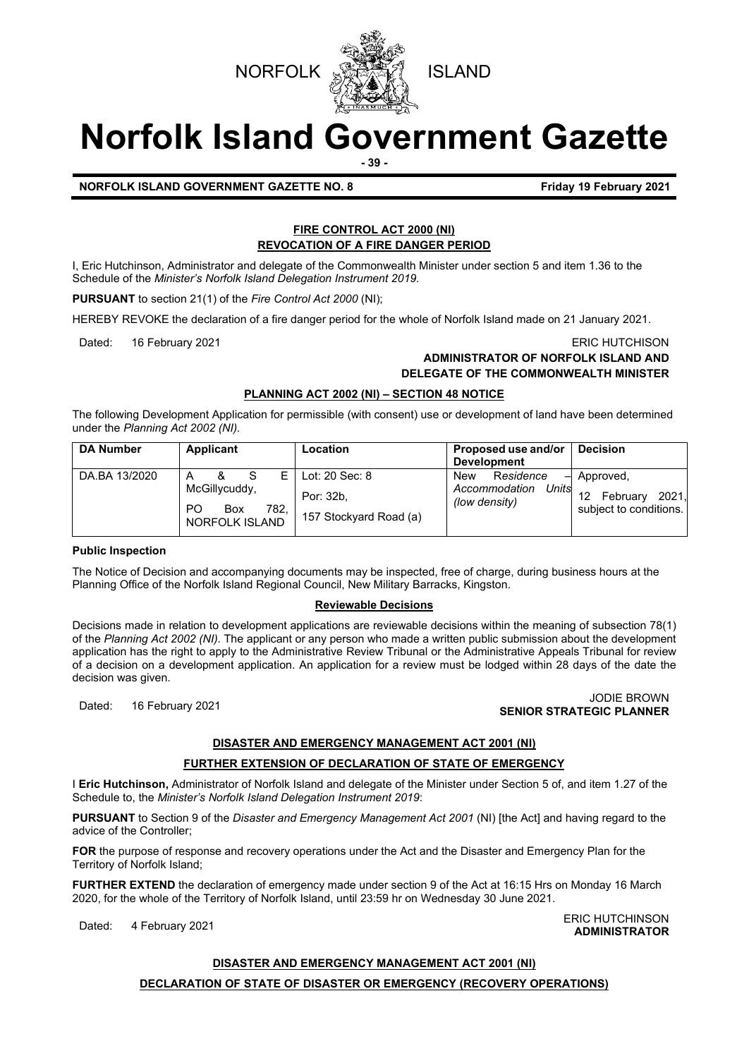



# **Norfolk Island Government Gazette**

**- 39 -**

# **NORFOLK ISLAND GOVERNMENT GAZETTE NO. 8 Friday 19 February 2021**

#### **FIRE CONTROL ACT 2000 (NI) REVOCATION OF A FIRE DANGER PERIOD**

I, Eric Hutchinson, Administrator and delegate of the Commonwealth Minister under section 5 and item 1.36 to the Schedule of the *Minister's Norfolk Island Delegation Instrument 2019.*

**PURSUANT** to section 21(1) of the *Fire Control Act 2000* (NI);

HEREBY REVOKE the declaration of a fire danger period for the whole of Norfolk Island made on 21 January 2021.

### Dated: 16 February 2021 **ERIC HUTCHISON ADMINISTRATOR OF NORFOLK ISLAND AND DELEGATE OF THE COMMONWEALTH MINISTER**

#### **PLANNING ACT 2002 (NI) – SECTION 48 NOTICE**

The following Development Application for permissible (with consent) use or development of land have been determined under the *Planning Act 2002 (NI).*

| <b>DA Number</b> | Applicant                                                                          | Location                                              | Proposed use and/or<br><b>Development</b>                               | <b>Decision</b>                                          |
|------------------|------------------------------------------------------------------------------------|-------------------------------------------------------|-------------------------------------------------------------------------|----------------------------------------------------------|
| DA.BA 13/2020    | F.<br>Α<br>McGillycuddy,<br>P <sub>O</sub><br>782,<br>Box<br><b>NORFOLK ISLAND</b> | Lot: 20 Sec: 8<br>Por: 32b.<br>157 Stockyard Road (a) | Residence<br><b>New</b><br>⊣<br>Units<br>Accommodation<br>(low density) | Approved,<br>2021,<br>February<br>subject to conditions. |

#### **Public Inspection**

The Notice of Decision and accompanying documents may be inspected, free of charge, during business hours at the Planning Office of the Norfolk Island Regional Council, New Military Barracks, Kingston.

#### **Reviewable Decisions**

Decisions made in relation to development applications are reviewable decisions within the meaning of subsection 78(1) of the *Planning Act 2002 (NI).* The applicant or any person who made a written public submission about the development application has the right to apply to the Administrative Review Tribunal or the Administrative Appeals Tribunal for review of a decision on a development application. An application for a review must be lodged within 28 days of the date the decision was given.

# Dated: 16 February 2021 JODIE BROWN **SENIOR STRATEGIC PLANNER**

### **DISASTER AND EMERGENCY MANAGEMENT ACT 2001 (NI)**

#### **FURTHER EXTENSION OF DECLARATION OF STATE OF EMERGENCY**

I **Eric Hutchinson,** Administrator of Norfolk Island and delegate of the Minister under Section 5 of, and item 1.27 of the Schedule to, the *Minister's Norfolk Island Delegation Instrument 2019*:

**PURSUANT** to Section 9 of the *Disaster and Emergency Management Act 2001* (NI) [the Act] and having regard to the advice of the Controller;

**FOR** the purpose of response and recovery operations under the Act and the Disaster and Emergency Plan for the Territory of Norfolk Island;

**FURTHER EXTEND** the declaration of emergency made under section 9 of the Act at 16:15 Hrs on Monday 16 March 2020, for the whole of the Territory of Norfolk Island, until 23:59 hr on Wednesday 30 June 2021.

Dated: 4 February 2021<br>Dated: 4 February 2021 **ADMINISTRATOR**

#### **DISASTER AND EMERGENCY MANAGEMENT ACT 2001 (NI)**

#### **DECLARATION OF STATE OF DISASTER OR EMERGENCY (RECOVERY OPERATIONS)**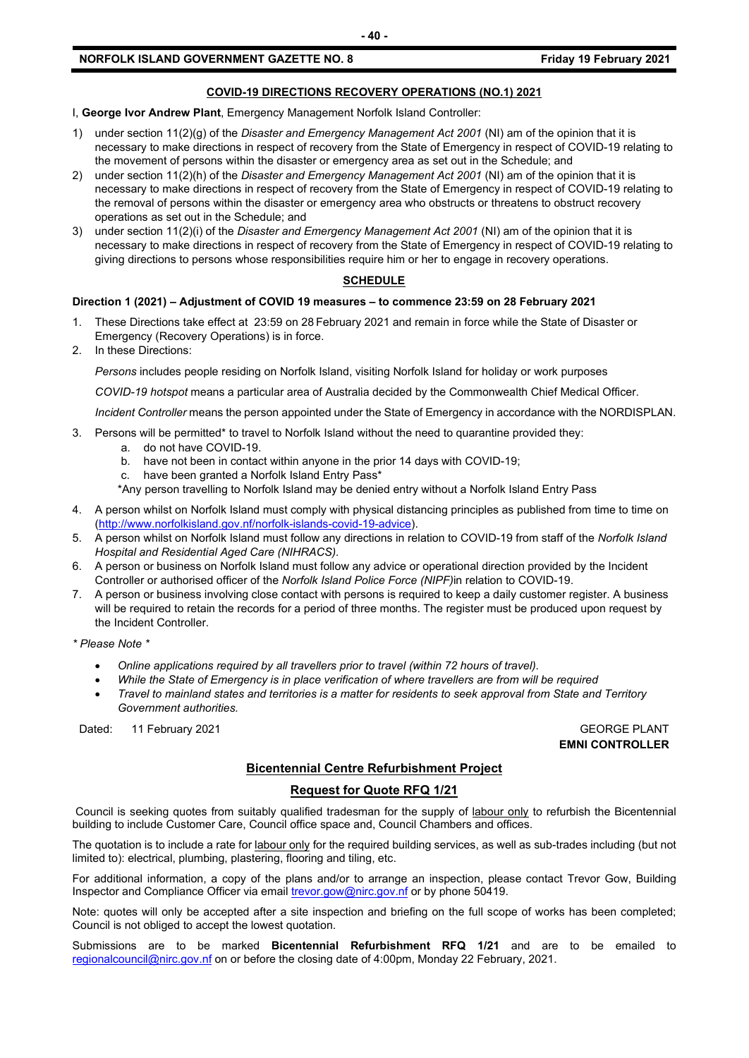#### **NORFOLK ISLAND GOVERNMENT GAZETTE NO. 8 Friday 19 February 2021**

# I, **George Ivor Andrew Plant**, Emergency Management Norfolk Island Controller:

- 1) under section 11(2)(g) of the *Disaster and Emergency Management Act 2001* (NI) am of the opinion that it is necessary to make directions in respect of recovery from the State of Emergency in respect of COVID-19 relating to the movement of persons within the disaster or emergency area as set out in the Schedule; and
- 2) under section 11(2)(h) of the *Disaster and Emergency Management Act 2001* (NI) am of the opinion that it is necessary to make directions in respect of recovery from the State of Emergency in respect of COVID-19 relating to the removal of persons within the disaster or emergency area who obstructs or threatens to obstruct recovery operations as set out in the Schedule; and
- 3) under section 11(2)(i) of the *Disaster and Emergency Management Act 2001* (NI) am of the opinion that it is necessary to make directions in respect of recovery from the State of Emergency in respect of COVID-19 relating to giving directions to persons whose responsibilities require him or her to engage in recovery operations.

#### **SCHEDULE**

#### **Direction 1 (2021) – Adjustment of COVID 19 measures – to commence 23:59 on 28 February 2021**

- 1. These Directions take effect at 23:59 on 28 February 2021 and remain in force while the State of Disaster or Emergency (Recovery Operations) is in force.
- 2. In these Directions:

*Persons* includes people residing on Norfolk Island, visiting Norfolk Island for holiday or work purposes

*COVID-19 hotspot* means a particular area of Australia decided by the Commonwealth Chief Medical Officer.

*Incident Controller* means the person appointed under the State of Emergency in accordance with the NORDISPLAN.

- 3. Persons will be permitted\* to travel to Norfolk Island without the need to quarantine provided they:
	- a. do not have COVID-19.
	- b. have not been in contact within anyone in the prior 14 days with COVID-19;
	- c. have been granted a Norfolk Island Entry Pass\*

\*Any person travelling to Norfolk Island may be denied entry without a Norfolk Island Entry Pass

- 4. A person whilst on Norfolk Island must comply with physical distancing principles as published from time to time on [\(http://www.norfolkisland.gov.nf/norfolk-islands-covid-19-advice\)](http://www.norfolkisland.gov.nf/norfolk-islands-covid-19-advice).
- 5. A person whilst on Norfolk Island must follow any directions in relation to COVID-19 from staff of the *Norfolk Island Hospital and Residential Aged Care (NIHRACS).*
- 6. A person or business on Norfolk Island must follow any advice or operational direction provided by the Incident Controller or authorised officer of the *Norfolk Island Police Force (NIPF)*in relation to COVID-19.
- 7. A person or business involving close contact with persons is required to keep a daily customer register. A business will be required to retain the records for a period of three months. The register must be produced upon request by the Incident Controller.

*\* Please Note \** 

- *Online applications required by all travellers prior to travel (within 72 hours of travel).*
- *While the State of Emergency is in place verification of where travellers are from will be required*
- *Travel to mainland states and territories is a matter for residents to seek approval from State and Territory Government authorities.*

Dated: 11 February 2021 **GEORGE PLANT** 

**EMNI CONTROLLER**

### **Bicentennial Centre Refurbishment Project**

#### **Request for Quote RFQ 1/21**

Council is seeking quotes from suitably qualified tradesman for the supply of labour only to refurbish the Bicentennial building to include Customer Care, Council office space and, Council Chambers and offices.

The quotation is to include a rate for labour only for the required building services, as well as sub-trades including (but not limited to): electrical, plumbing, plastering, flooring and tiling, etc.

For additional information, a copy of the plans and/or to arrange an inspection, please contact Trevor Gow, Building Inspector and Compliance Officer via emai[l trevor.gow@nirc.gov.nf](mailto:trevor.gow@nirc.gov.nf) or by phone 50419.

Note: quotes will only be accepted after a site inspection and briefing on the full scope of works has been completed; Council is not obliged to accept the lowest quotation.

Submissions are to be marked **Bicentennial Refurbishment RFQ 1/21** and are to be emailed to [regionalcouncil@nirc.gov.nf](mailto:regionalcouncil@nirc.gov.nf) on or before the closing date of 4:00pm, Monday 22 February, 2021.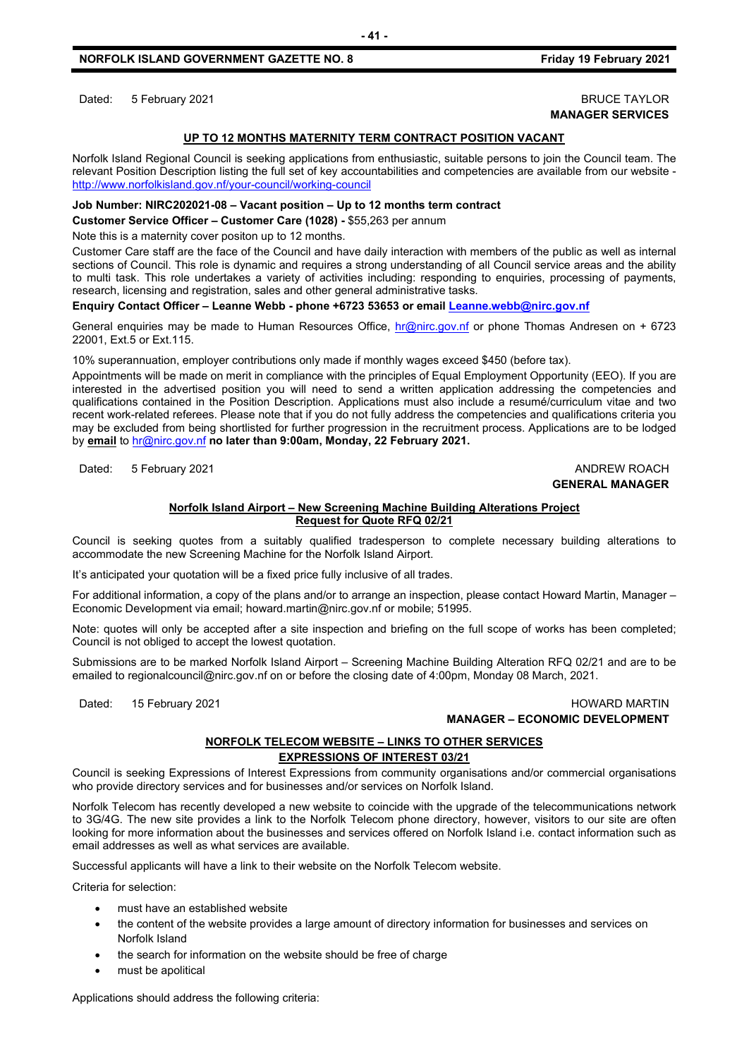Dated: 5 February 2021 **BRUCE TAYLOR** 

# **MANAGER SERVICES**

#### **UP TO 12 MONTHS MATERNITY TERM CONTRACT POSITION VACANT**

**- 41 -**

Norfolk Island Regional Council is seeking applications from enthusiastic, suitable persons to join the Council team. The relevant Position Description listing the full set of key accountabilities and competencies are available from our website <http://www.norfolkisland.gov.nf/your-council/working-council>

#### **Job Number: NIRC202021-08 – Vacant position – Up to 12 months term contract**

**Customer Service Officer – Customer Care (1028) -** \$55,263 per annum

Note this is a maternity cover positon up to 12 months.

Customer Care staff are the face of the Council and have daily interaction with members of the public as well as internal sections of Council. This role is dynamic and requires a strong understanding of all Council service areas and the ability to multi task. This role undertakes a variety of activities including: responding to enquiries, processing of payments, research, licensing and registration, sales and other general administrative tasks.

#### **Enquiry Contact Officer – Leanne Webb - phone +6723 53653 or email [Leanne.webb@nirc.gov.nf](mailto:Leanne.webb@nirc.gov.nf)**

General enquiries may be made to Human Resources Office, [hr@nirc.gov.nf](mailto:hr@nirc.gov.nf) or phone Thomas Andresen on + 6723 22001, Ext.5 or Ext.115.

10% superannuation, employer contributions only made if monthly wages exceed \$450 (before tax).

Appointments will be made on merit in compliance with the principles of Equal Employment Opportunity (EEO). If you are interested in the advertised position you will need to send a written application addressing the competencies and qualifications contained in the Position Description. Applications must also include a resumé/curriculum vitae and two recent work-related referees. Please note that if you do not fully address the competencies and qualifications criteria you may be excluded from being shortlisted for further progression in the recruitment process. Applications are to be lodged by **email** to [hr@nirc.gov.nf](mailto:hr@nirc.gov.nf) **no later than 9:00am, Monday, 22 February 2021.** 

Dated: 5 February 2021 **ANDREW ROACH** 

# **GENERAL MANAGER**

#### **Norfolk Island Airport – New Screening Machine Building Alterations Project Request for Quote RFQ 02/21**

Council is seeking quotes from a suitably qualified tradesperson to complete necessary building alterations to accommodate the new Screening Machine for the Norfolk Island Airport.

It's anticipated your quotation will be a fixed price fully inclusive of all trades.

For additional information, a copy of the plans and/or to arrange an inspection, please contact Howard Martin, Manager – Economic Development via email; howard.martin@nirc.gov.nf or mobile; 51995.

Note: quotes will only be accepted after a site inspection and briefing on the full scope of works has been completed; Council is not obliged to accept the lowest quotation.

Submissions are to be marked Norfolk Island Airport – Screening Machine Building Alteration RFQ 02/21 and are to be emailed to regionalcouncil@nirc.gov.nf on or before the closing date of 4:00pm, Monday 08 March, 2021.

Dated: 15 February 2021 **https://www.franchilden.org/controllegated: 15 February 2021 MANAGER – ECONOMIC DEVELOPMENT**

#### **NORFOLK TELECOM WEBSITE – LINKS TO OTHER SERVICES EXPRESSIONS OF INTEREST 03/21**

Council is seeking Expressions of Interest Expressions from community organisations and/or commercial organisations who provide directory services and for businesses and/or services on Norfolk Island.

Norfolk Telecom has recently developed a new website to coincide with the upgrade of the telecommunications network to 3G/4G. The new site provides a link to the Norfolk Telecom phone directory, however, visitors to our site are often looking for more information about the businesses and services offered on Norfolk Island i.e. contact information such as email addresses as well as what services are available.

Successful applicants will have a link to their website on the Norfolk Telecom website.

Criteria for selection:

- must have an established website
- the content of the website provides a large amount of directory information for businesses and services on Norfolk Island
- the search for information on the website should be free of charge
- must be apolitical

Applications should address the following criteria: